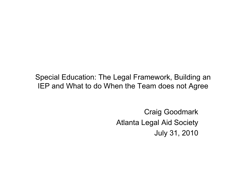Special Education: The Legal Framework, Building an IEP and What to do When the Team does not Agree

> Craig Goodmark Atlanta Legal Aid Society July 31, 2010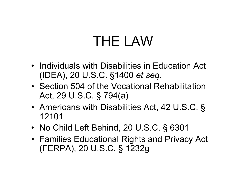# THE LAW

- Individuals with Disabilities in Education Act (IDEA), 20 U.S.C. §1400 *et seq.*
- Section 504 of the Vocational Rehabilitation Act, 29 U.S.C. § 794(a)
- Americans with Disabilities Act, 42 U.S.C. § 12101
- No Child Left Behind, 20 U.S.C. § 6301
- Families Educational Rights and Privacy Act (FERPA), 20 U.S.C. § 1232g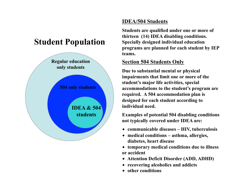#### **Student Population**



#### **IDEA/504 Students**

**Students are qualified under one or more of thirteen (14) IDEA disabling conditions. Specially designed individual education programs are planned for each student by IEP teams.** 

#### **Section 504 Students Only**

**Due to substantial mental or physical impairments that limit one or more of the student's major life activities, special accommodations to the student's program are required. A 504 accommodation plan is designed for each student according to individual need.** 

**Examples of potential 504 disabling conditions not typically covered under IDEA are:** 

- **communicable diseases HIV, tuberculosis**
- **medical conditions asthma, allergies, diabetes, heart disease**
- **temporary medical conditions due to illness or accident**
- **Attention Deficit Disorder (ADD, ADHD)**
- **recovering alcoholics and addicts**
- **other conditions**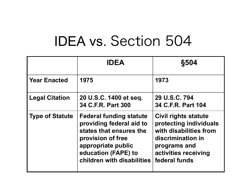# IDEA vs. Section 504

|                        | <b>IDEA</b>                                                                                                                                                                           | <b>§504</b>                                                                                                                                            |
|------------------------|---------------------------------------------------------------------------------------------------------------------------------------------------------------------------------------|--------------------------------------------------------------------------------------------------------------------------------------------------------|
| <b>Year Enacted</b>    | 1975                                                                                                                                                                                  | 1973                                                                                                                                                   |
| <b>Legal Citation</b>  | 20 U.S.C. 1400 et seq.<br>34 C.F.R. Part 300                                                                                                                                          | 29 U.S.C. 794<br>34 C.F.R. Part 104                                                                                                                    |
| <b>Type of Statute</b> | <b>Federal funding statute</b><br>providing federal aid to<br>states that ensures the<br>provision of free<br>appropriate public<br>education (FAPE) to<br>children with disabilities | Civil rights statute<br>protecting individuals<br>with disabilities from<br>discrimination in<br>programs and<br>activities receiving<br>federal funds |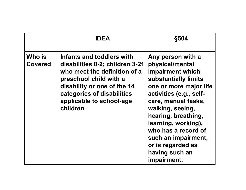|                          | <b>IDEA</b>                                                                                                                                                                                                                 | <b>§504</b>                                                                                                                                                                                                                                                                                                                        |
|--------------------------|-----------------------------------------------------------------------------------------------------------------------------------------------------------------------------------------------------------------------------|------------------------------------------------------------------------------------------------------------------------------------------------------------------------------------------------------------------------------------------------------------------------------------------------------------------------------------|
| Who is<br><b>Covered</b> | Infants and toddlers with<br>disabilities 0-2; children 3-21<br>who meet the definition of a<br>preschool child with a<br>disability or one of the 14<br>categories of disabilities<br>applicable to school-age<br>children | Any person with a<br>physical/mental<br>impairment which<br>substantially limits<br>one or more major life<br>activities (e.g., self-<br>care, manual tasks,<br>walking, seeing,<br>hearing, breathing,<br>learning, working),<br>who has a record of<br>such an impairment,<br>or is regarded as<br>having such an<br>impairment. |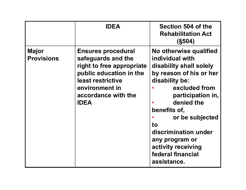|                                   | <b>IDEA</b>                                                                                                                                                                          | Section 504 of the<br><b>Rehabilitation Act</b><br>(S504)                                                                                                                                                                                                                                                          |
|-----------------------------------|--------------------------------------------------------------------------------------------------------------------------------------------------------------------------------------|--------------------------------------------------------------------------------------------------------------------------------------------------------------------------------------------------------------------------------------------------------------------------------------------------------------------|
| <b>Major</b><br><b>Provisions</b> | <b>Ensures procedural</b><br>safeguards and the<br>right to free appropriate<br>public education in the<br>least restrictive<br>environment in<br>accordance with the<br><b>IDEA</b> | No otherwise qualified<br>individual with<br>disability shall solely<br>by reason of his or her<br>disability be:<br>excluded from<br>participation in,<br>denied the<br>benefits of,<br>or be subjected<br>to<br>discrimination under<br>any program or<br>activity receiving<br>federal financial<br>assistance. |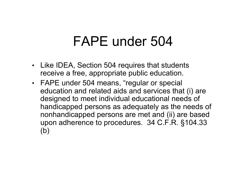#### FAPE under 504

- Like IDEA, Section 504 requires that students receive a free, appropriate public education.
- FAPE under 504 means, "regular or special education and related aids and services that (i) are designed to meet individual educational needs of handicapped persons as adequately as the needs of nonhandicapped persons are met and (ii) are based upon adherence to procedures. 34 C.F.R. §104.33 (b)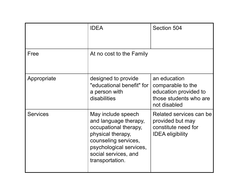|                 | <b>IDEA</b>                                                                                                                                                                             | Section 504                                                                                          |
|-----------------|-----------------------------------------------------------------------------------------------------------------------------------------------------------------------------------------|------------------------------------------------------------------------------------------------------|
| Free            | At no cost to the Family                                                                                                                                                                |                                                                                                      |
| Appropriate     | designed to provide<br>"educational benefit" for<br>a person with<br>disabilities                                                                                                       | an education<br>comparable to the<br>education provided to<br>those students who are<br>not disabled |
| <b>Services</b> | May include speech<br>and language therapy,<br>occupational therapy,<br>physical therapy,<br>counseling services,<br>psychological services,<br>social services, and<br>transportation. | Related services can be<br>provided but may<br>constitute need for<br><b>IDEA eligibility</b>        |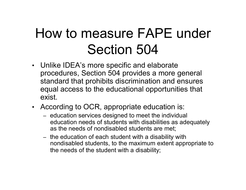# How to measure FAPE under Section 504

- Unlike IDEA's more specific and elaborate procedures, Section 504 provides a more general standard that prohibits discrimination and ensures equal access to the educational opportunities that exist.
- According to OCR, appropriate education is:
	- education services designed to meet the individual education needs of students with disabilities as adequately as the needs of nondisabled students are met;
	- the education of each student with a disability with nondisabled students, to the maximum extent appropriate to the needs of the student with a disability;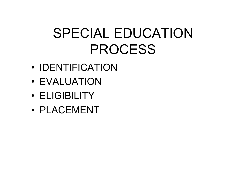# SPECIAL EDUCATION PROCESS

- IDENTIFICATION
- EVALUATION
- ELIGIBILITY
- PLACEMENT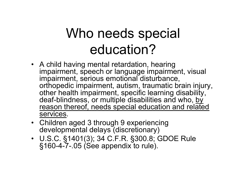# Who needs special education?

- A child having mental retardation, hearing impairment, speech or language impairment, visual impairment, serious emotional disturbance, orthopedic impairment, autism, traumatic brain injury, other health impairment, specific learning disability, deaf-blindness, or multiple disabilities and who, by reason thereof, needs special education and related services.
- Children aged 3 through 9 experiencing developmental delays (discretionary)
- U.S.C. §1401(3); 34 C.F.R. §300.8; GDOE Rule §160-4-7-.05 (See appendix to rule).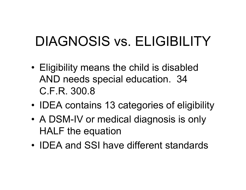# DIAGNOSIS vs. ELIGIBILITY

- Eligibility means the child is disabled AND needs special education. 34 C.F.R. 300.8
- **IDEA** contains 13 categories of eligibility
- A DSM-IV or medical diagnosis is only HALF the equation
- IDEA and SSI have different standards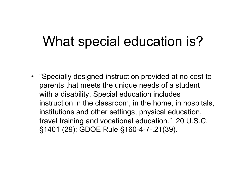#### What special education is?

• "Specially designed instruction provided at no cost to parents that meets the unique needs of a student with a disability. Special education includes instruction in the classroom, in the home, in hospitals, institutions and other settings, physical education, travel training and vocational education." 20 U.S.C. §1401 (29); GDOE Rule §160-4-7-.21(39).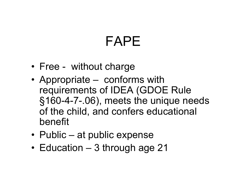# FAPE

- Free without charge
- Appropriate conforms with requirements of IDEA (GDOE Rule §160-4-7-.06), meets the unique needs of the child, and confers educational benefit
- Public at public expense
- Education 3 through age 21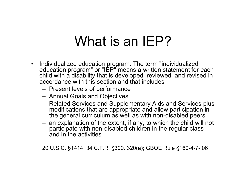### What is an IEP?

- Individualized education program. The term "individualized education program" or "IEP" means a written statement for each child with a disability that is developed, reviewed, and revised in accordance with this section and that includes—
	- Present levels of performance
	- Annual Goals and Objectives
	- Related Services and Supplementary Aids and Services plus modifications that are appropriate and allow participation in the general curriculum as well as with non-disabled peers
	- an explanation of the extent, if any, to which the child will not participate with non-disabled children in the regular class and in the activities

20 U.S.C. §1414; 34 C.F.R. §300. 320(a); GBOE Rule §160-4-7-.06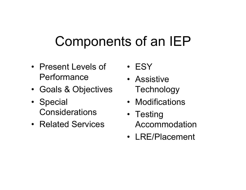# Components of an IEP

- Present Levels of **Performance**
- Goals & Objectives
- Special **Considerations**
- Related Services
- ESY
- Assistive **Technology**
- Modifications
- Testing Accommodation
- LRE/Placement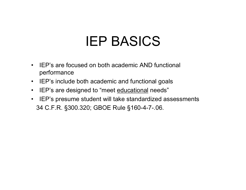## IEP BASICS

- IEP's are focused on both academic AND functional performance
- IEP's include both academic and functional goals
- IEP's are designed to "meet educational needs"
- IEP's presume student will take standardized assessments 34 C.F.R. §300.320; GBOE Rule §160-4-7-.06.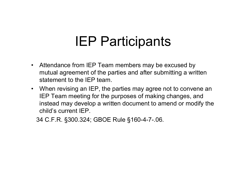#### IEP Participants

- Attendance from IEP Team members may be excused by mutual agreement of the parties and after submitting a written statement to the IEP team.
- When revising an IEP, the parties may agree not to convene an IEP Team meeting for the purposes of making changes, and instead may develop a written document to amend or modify the child's current IEP.

34 C.F.R. §300.324; GBOE Rule §160-4-7-.06.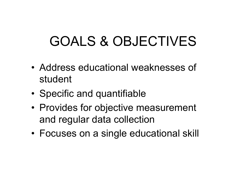# GOALS & OBJECTIVES

- Address educational weaknesses of student
- Specific and quantifiable
- Provides for objective measurement and regular data collection
- Focuses on a single educational skill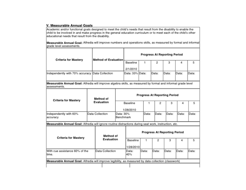#### V. Measurable Annual Goals

Academic and/or functional goals designed to meet the child's needs that result from the disability to enable the child to be involved in and make progress in the general education curriculum or to meet each of the child's other educational needs that result from the disability.

Measurable Annual Goal: Alfredia will improve numbers and operations skills, as measured by formal and informal grade level assessments.

| <b>Criteria for Mastery</b>                                                                                                  |  | <b>Method of Evaluation</b> |  | <b>Progress At Reporting Period</b> |                       |                              |  |       |       |       |       |       |       |       |       |
|------------------------------------------------------------------------------------------------------------------------------|--|-----------------------------|--|-------------------------------------|-----------------------|------------------------------|--|-------|-------|-------|-------|-------|-------|-------|-------|
|                                                                                                                              |  |                             |  | Baseline                            |                       | 1.                           |  | 2     |       | з     | 4     |       | 5     |       |       |
|                                                                                                                              |  |                             |  |                                     |                       | 2/1/2010                     |  |       |       |       |       |       |       |       |       |
| Independently with 70% accuracy Data Collection                                                                              |  |                             |  |                                     | Data: 33% Data:       |                              |  |       | Data: |       | Data: | Data: |       | Data: |       |
| Measurable Annual Goal: Alfredia will improve algebra skills, as measured by formal and informal grade level<br>assessments. |  |                             |  |                                     |                       |                              |  |       |       |       |       |       |       |       |       |
| <b>Criteria for Mastery</b>                                                                                                  |  | Method of                   |  | <b>Progress At Reporting Period</b> |                       |                              |  |       |       |       |       |       |       |       |       |
|                                                                                                                              |  | Evaluation                  |  | Baseline<br>1/28/2010               |                       |                              |  | 1     | 2     |       |       | з     | 4     |       | 5     |
| Independently with 60%<br>accuracy                                                                                           |  | Data Collection             |  | Data: 30%<br>Benchmark              |                       |                              |  | Data: |       | Data: |       | Data: | Data: |       | Data: |
| Measurable Annual Goal: Alfredia will ignore routine distractions during seat work, instruction, etc.                        |  |                             |  |                                     |                       |                              |  |       |       |       |       |       |       |       |       |
| <b>Criteria for Mastery</b>                                                                                                  |  | Method of<br>Evaluation     |  |                                     |                       | Progress At Reporting Period |  |       |       |       |       |       |       |       |       |
|                                                                                                                              |  |                             |  |                                     | Baseline<br>1/28/2010 |                              |  | 1     | 2     |       |       | з     | 4     |       | 5     |
| With cue assistance 60% of the<br>ltime.                                                                                     |  | Data Collection             |  |                                     | Data:<br>40%          |                              |  | Data: | Data: |       | Data: |       | Data: |       | Data: |
| Measurable Annual Goal: Alfredia will improve legibility, as measured by data collection (classwork)                         |  |                             |  |                                     |                       |                              |  |       |       |       |       |       |       |       |       |
|                                                                                                                              |  |                             |  |                                     |                       |                              |  |       |       |       |       |       |       |       |       |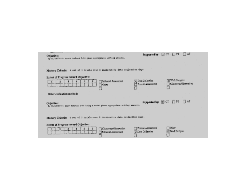| AT<br>Supported by: [x] OT [ ] PT<br>Objective:<br>By 08/29/2009: trace numbers 1-10 given appropriate writing utensil.                                                 |
|-------------------------------------------------------------------------------------------------------------------------------------------------------------------------|
|                                                                                                                                                                         |
| Mastery Criteria: 4 out of 5 trials over 5 consequative data collection days                                                                                            |
| Extent of Progress toward Objective:                                                                                                                                    |
| T Work Samples<br>(x) Data Collection<br>Informal Assessment<br>Classroom Observation<br>Formal Assessment<br>Other                                                     |
| Other evaluation method:                                                                                                                                                |
| Supported by: [x] OT [] PT [] AT<br>Objective:<br>By 09/29/2009: copy mumbers 1-10 using a model given appropriate writing utensil.                                     |
|                                                                                                                                                                         |
| Mastery Criteria: 4 out of 5 trials over 5 consecutive data collection days.                                                                                            |
| <b>Extent of Progress toward Objective:</b>                                                                                                                             |
| Other<br>Formal Assessment<br>Classroom Observation<br>scientification and in Automobile Contractor<br>y Work Samples<br>Data Collection<br>Informal Assessment<br>فسوة |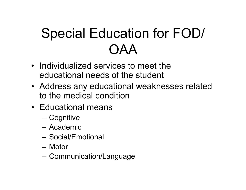# Special Education for FOD/ **OAA**

- Individualized services to meet the educational needs of the student
- Address any educational weaknesses related to the medical condition
- Educational means
	- Cognitive
	- Academic
	- Social/Emotional
	- Motor
	- Communication/Language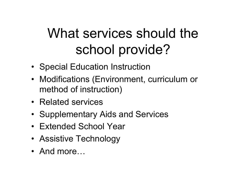# What services should the school provide?

- Special Education Instruction
- Modifications (Environment, curriculum or method of instruction)
- Related services
- Supplementary Aids and Services
- Extended School Year
- Assistive Technology
- And more…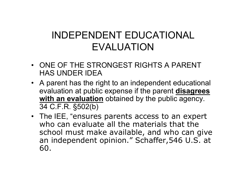#### INDEPENDENT EDUCATIONAL EVALUATION

- ONE OF THE STRONGEST RIGHTS A PARENT HAS UNDER IDEA
- A parent has the right to an independent educational evaluation at public expense if the parent **disagrees**  with an evaluation obtained by the public agency. 34 C.F.R. §502(b)
- The IEE, "ensures parents access to an expert who can evaluate all the materials that the school must make available, and who can give an independent opinion." Schaffer,546 U.S. at 60.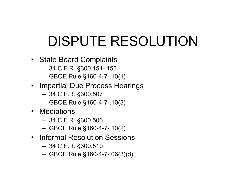# DISPUTE RESOLUTION

- State Board Complaints
	- 34 C.F.R. §300.151-.153
	- GBOE Rule §160-4-7-.10(1)
- Impartial Due Process Hearings
	- 34 C.F.R. §300.507
	- GBOE Rule §160-4-7-.10(3)
- Mediations
	- 34 C.F.R. §300.506
	- GBOE Rule §160-4-7-.10(2)
- Informal Resolution Sessions
	- 34 C.F.R. §300.510
	- GBOE Rule §160-4-7-.06(3)(d)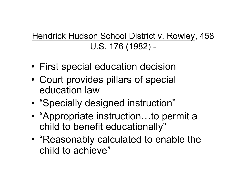#### Hendrick Hudson School District v. Rowley, 458 U.S. 176 (1982) -

- First special education decision
- Court provides pillars of special education law
- "Specially designed instruction"
- "Appropriate instruction...to permit a child to benefit educationally"
- "Reasonably calculated to enable the child to achieve"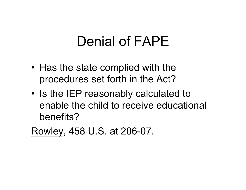### Denial of FAPE

- Has the state complied with the procedures set forth in the Act?
- Is the IEP reasonably calculated to enable the child to receive educational benefits?

Rowley, 458 U.S. at 206-07.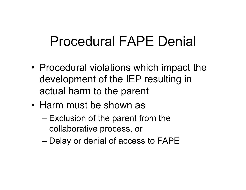# Procedural FAPE Denial

- Procedural violations which impact the development of the IEP resulting in actual harm to the parent
- Harm must be shown as
	- Exclusion of the parent from the collaborative process, or
	- Delay or denial of access to FAPE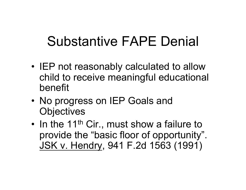# Substantive FAPE Denial

- IEP not reasonably calculated to allow child to receive meaningful educational benefit
- No progress on IEP Goals and **Objectives**
- In the 11<sup>th</sup> Cir., must show a failure to provide the "basic floor of opportunity". JSK v. Hendry, 941 F.2d 1563 (1991)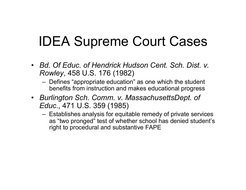## IDEA Supreme Court Cases

- *Bd. Of Educ. of Hendrick Hudson Cent. Sch. Dist. v. Rowley*, 458 U.S. 176 (1982)
	- Defines "appropriate education" as one which the student benefits from instruction and makes educational progress
- *Burlington Sch. Comm. v. MassachusettsDept. of Educ*., 471 U.S. 359 (1985)
	- Establishes analysis for equitable remedy of private services as "two pronged" test of whether school has denied student's right to procedural and substantive FAPE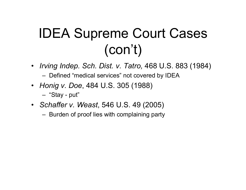# IDEA Supreme Court Cases (con't)

- *Irving Indep. Sch. Dist. v. Tatro,* 468 U.S. 883 (1984) – Defined "medical services" not covered by IDEA
- *Honig v. Doe*, 484 U.S. 305 (1988)
	- "Stay put"
- *Schaffer v. Weast*, 546 U.S. 49 (2005)
	- Burden of proof lies with complaining party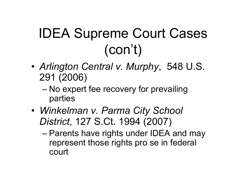# IDEA Supreme Court Cases (con't)

- *Arlington Central v. Murphy*, 548 U.S. 291 (2006)
	- No expert fee recovery for prevailing parties
- *Winkelman v. Parma City School District*, 127 S.Ct. 1994 (2007)
	- Parents have rights under IDEA and may represent those rights pro se in federal court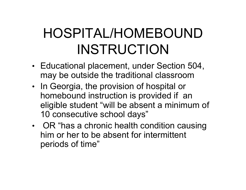# HOSPITAL/HOMEBOUND INSTRUCTION

- Educational placement, under Section 504, may be outside the traditional classroom
- In Georgia, the provision of hospital or homebound instruction is provided if an eligible student "will be absent a minimum of 10 consecutive school days"
- OR "has a chronic health condition causing him or her to be absent for intermittent periods of time"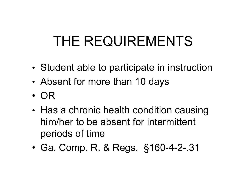# THE REQUIREMENTS

- Student able to participate in instruction
- Absent for more than 10 days
- OR
- Has a chronic health condition causing him/her to be absent for intermittent periods of time
- Ga. Comp. R. & Regs. §160-4-2-.31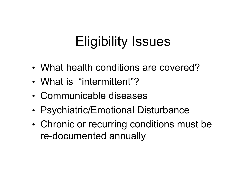# Eligibility Issues

- What health conditions are covered?
- What is "intermittent"?
- Communicable diseases
- Psychiatric/Emotional Disturbance
- Chronic or recurring conditions must be re-documented annually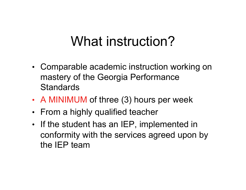#### What instruction?

- Comparable academic instruction working on mastery of the Georgia Performance **Standards**
- A MINIMUM of three (3) hours per week
- From a highly qualified teacher
- If the student has an IEP, implemented in conformity with the services agreed upon by the IEP team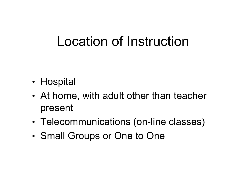### Location of Instruction

- Hospital
- At home, with adult other than teacher present
- Telecommunications (on-line classes)
- Small Groups or One to One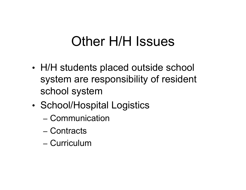#### Other H/H Issues

- H/H students placed outside school system are responsibility of resident school system
- School/Hospital Logistics
	- Communication
	- Contracts
	- Curriculum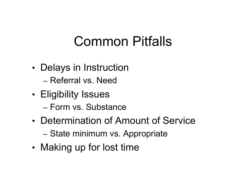### Common Pitfalls

- Delays in Instruction
	- Referral vs. Need
- Eligibility Issues
	- Form vs. Substance
- Determination of Amount of Service
	- State minimum vs. Appropriate
- Making up for lost time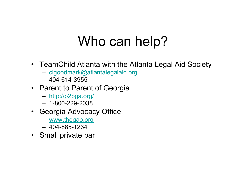## Who can help?

- TeamChild Atlanta with the Atlanta Legal Aid Society
	- clgoodmark@atlantalegalaid.org
	- $-404 614 3955$
- Parent to Parent of Georgia
	- http://p2pga.org/
	- 1-800-229-2038
- Georgia Advocacy Office
	- www.thegao.org
	- 404-885-1234
- Small private bar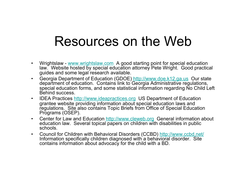#### Resources on the Web

- Wrightslaw www.wrightslaw.com A good starting point for special education law. Website hosted by special education attorney Pete Wright. Good practical guides and some legal research available.
- Georgia Department of Education (GDOE) http://www.doe.k12.ga.us Our state department of education. Contains link to Georgia Administrative regulations, special education forms, and some statistical information regarding No Child Left Behind success.
- IDEA Practices http://www.ideapractices.org US Department of Education grantee website providing information about special education laws and regulations. Site also contains Topic Briefs from Office of Special Education Programs (OSEP).
- Center for Law and Education http://www.cleweb.org General information about education law. Several topical papers on children with disabilities in public schools.
- Council for Children with Behavioral Disorders (CCBD) http://www.ccbd.net/ Information specifically children diagnosed with a behavioral disorder. Site contains information about advocacy for the child with a BD.